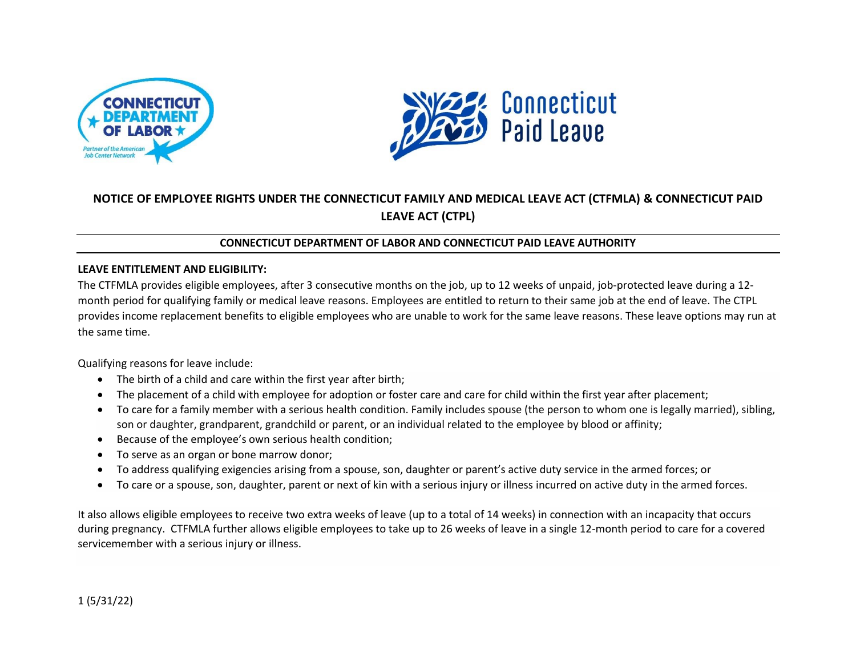



# **NOTICE OF EMPLOYEE RIGHTS UNDER THE CONNECTICUT FAMILY AND MEDICAL LEAVE ACT (CTFMLA) & CONNECTICUT PAID LEAVE ACT (CTPL)**

# **CONNECTICUT DEPARTMENT OF LABOR AND CONNECTICUT PAID LEAVE AUTHORITY**

#### **LEAVE ENTITLEMENT AND ELIGIBILITY:**

The CTFMLA provides eligible employees, after 3 consecutive months on the job, up to 12 weeks of unpaid, job-protected leave during a 12 month period for qualifying family or medical leave reasons. Employees are entitled to return to their same job at the end of leave. The CTPL provides income replacement benefits to eligible employees who are unable to work for the same leave reasons. These leave options may run at the same time.

Qualifying reasons for leave include:

- The birth of a child and care within the first year after birth;
- The placement of a child with employee for adoption or foster care and care for child within the first year after placement;
- To care for a family member with a serious health condition. Family includes spouse (the person to whom one is legally married), sibling, son or daughter, grandparent, grandchild or parent, or an individual related to the employee by blood or affinity;
- Because of the employee's own serious health condition;
- To serve as an organ or bone marrow donor;
- To address qualifying exigencies arising from a spouse, son, daughter or parent's active duty service in the armed forces; or
- To care or a spouse, son, daughter, parent or next of kin with a serious injury or illness incurred on active duty in the armed forces.

It also allows eligible employees to receive two extra weeks of leave (up to a total of 14 weeks) in connection with an incapacity that occurs during pregnancy. CTFMLA further allows eligible employees to take up to 26 weeks of leave in a single 12-month period to care for a covered servicemember with a serious injury or illness.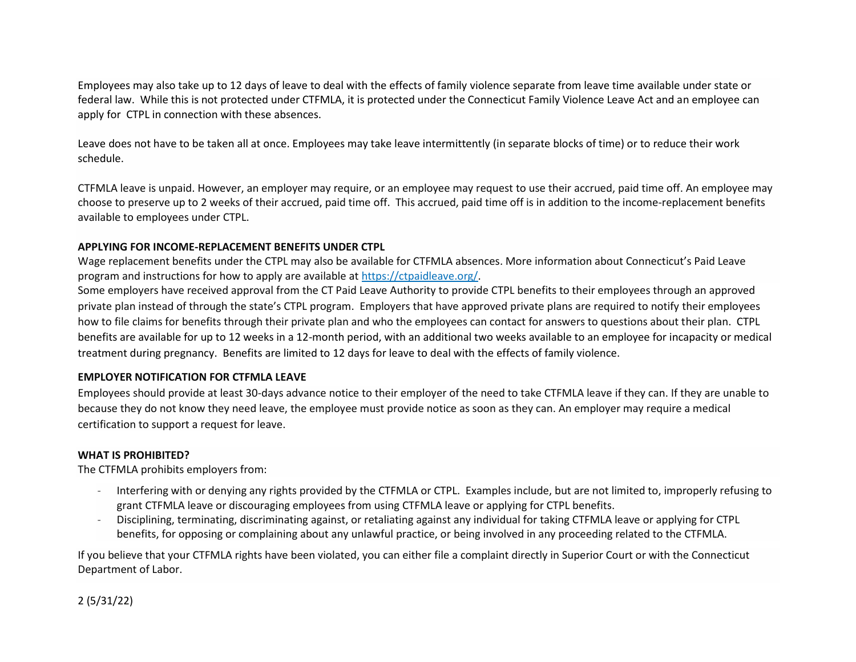Employees may also take up to 12 days of leave to deal with the effects of family violence separate from leave time available under state or federal law. While this is not protected under CTFMLA, it is protected under the Connecticut Family Violence Leave Act and an employee can apply for CTPL in connection with these absences.

Leave does not have to be taken all at once. Employees may take leave intermittently (in separate blocks of time) or to reduce their work schedule.

CTFMLA leave is unpaid. However, an employer may require, or an employee may request to use their accrued, paid time off. An employee may choose to preserve up to 2 weeks of their accrued, paid time off. This accrued, paid time off is in addition to the income-replacement benefits available to employees under CTPL.

#### **APPLYING FOR INCOME-REPLACEMENT BENEFITS UNDER CTPL**

Wage replacement benefits under the CTPL may also be available for CTFMLA absences. More information about Connecticut's Paid Leave program and instructions for how to apply are available at [https://ctpaidleave.org/.](https://ctpaidleave.org/)

Some employers have received approval from the CT Paid Leave Authority to provide CTPL benefits to their employees through an approved private plan instead of through the state's CTPL program. Employers that have approved private plans are required to notify their employees how to file claims for benefits through their private plan and who the employees can contact for answers to questions about their plan. CTPL benefits are available for up to 12 weeks in a 12-month period, with an additional two weeks available to an employee for incapacity or medical treatment during pregnancy. Benefits are limited to 12 days for leave to deal with the effects of family violence.

## **EMPLOYER NOTIFICATION FOR CTFMLA LEAVE**

Employees should provide at least 30-days advance notice to their employer of the need to take CTFMLA leave if they can. If they are unable to because they do not know they need leave, the employee must provide notice as soon as they can. An employer may require a medical certification to support a request for leave.

## **WHAT IS PROHIBITED?**

The CTFMLA prohibits employers from:

- Interfering with or denying any rights provided by the CTFMLA or CTPL. Examples include, but are not limited to, improperly refusing to grant CTFMLA leave or discouraging employees from using CTFMLA leave or applying for CTPL benefits.
- Disciplining, terminating, discriminating against, or retaliating against any individual for taking CTFMLA leave or applying for CTPL benefits, for opposing or complaining about any unlawful practice, or being involved in any proceeding related to the CTFMLA.

If you believe that your CTFMLA rights have been violated, you can either file a complaint directly in Superior Court or with the Connecticut Department of Labor.

2 (5/31/22)